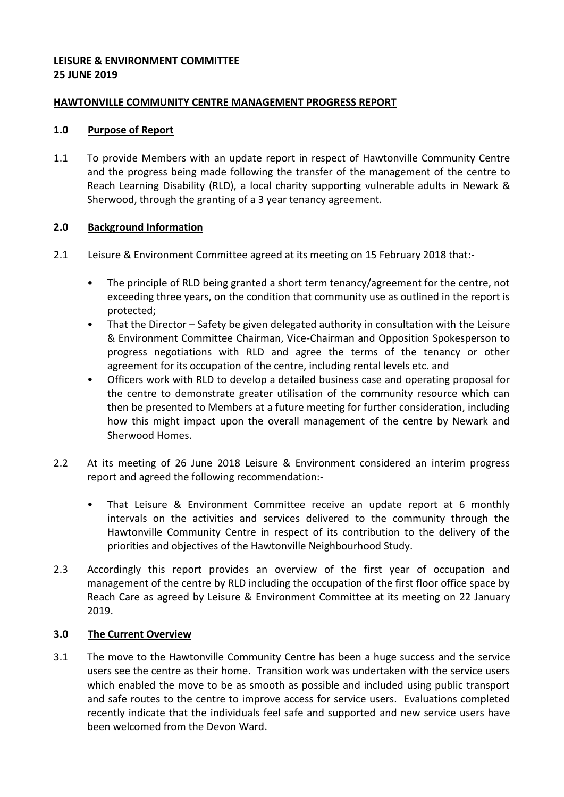## **LEISURE & ENVIRONMENT COMMITTEE 25 JUNE 2019**

### **HAWTONVILLE COMMUNITY CENTRE MANAGEMENT PROGRESS REPORT**

### **1.0 Purpose of Report**

1.1 To provide Members with an update report in respect of Hawtonville Community Centre and the progress being made following the transfer of the management of the centre to Reach Learning Disability (RLD), a local charity supporting vulnerable adults in Newark & Sherwood, through the granting of a 3 year tenancy agreement.

# **2.0 Background Information**

- 2.1 Leisure & Environment Committee agreed at its meeting on 15 February 2018 that:-
	- The principle of RLD being granted a short term tenancy/agreement for the centre, not exceeding three years, on the condition that community use as outlined in the report is protected;
	- That the Director Safety be given delegated authority in consultation with the Leisure & Environment Committee Chairman, Vice-Chairman and Opposition Spokesperson to progress negotiations with RLD and agree the terms of the tenancy or other agreement for its occupation of the centre, including rental levels etc. and
	- Officers work with RLD to develop a detailed business case and operating proposal for the centre to demonstrate greater utilisation of the community resource which can then be presented to Members at a future meeting for further consideration, including how this might impact upon the overall management of the centre by Newark and Sherwood Homes.
- 2.2 At its meeting of 26 June 2018 Leisure & Environment considered an interim progress report and agreed the following recommendation:-
	- That Leisure & Environment Committee receive an update report at 6 monthly intervals on the activities and services delivered to the community through the Hawtonville Community Centre in respect of its contribution to the delivery of the priorities and objectives of the Hawtonville Neighbourhood Study.
- 2.3 Accordingly this report provides an overview of the first year of occupation and management of the centre by RLD including the occupation of the first floor office space by Reach Care as agreed by Leisure & Environment Committee at its meeting on 22 January 2019.

# **3.0 The Current Overview**

3.1 The move to the Hawtonville Community Centre has been a huge success and the service users see the centre as their home. Transition work was undertaken with the service users which enabled the move to be as smooth as possible and included using public transport and safe routes to the centre to improve access for service users. Evaluations completed recently indicate that the individuals feel safe and supported and new service users have been welcomed from the Devon Ward.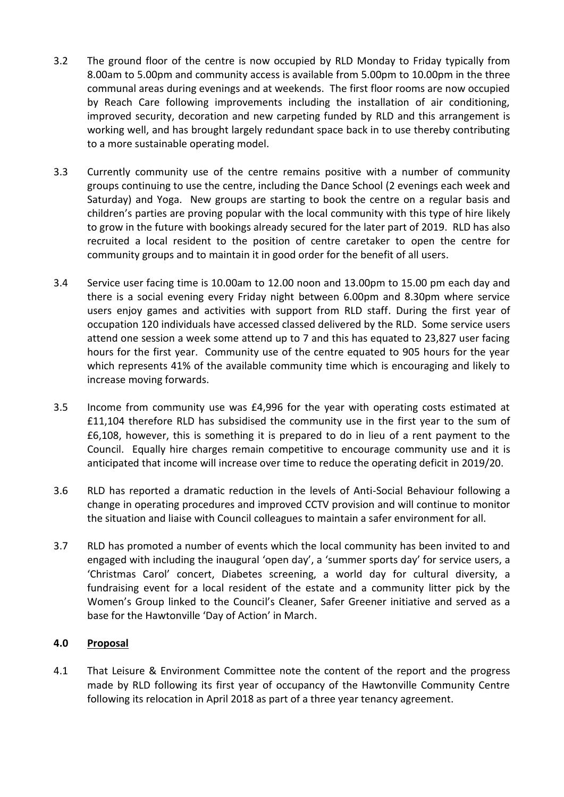- 3.2 The ground floor of the centre is now occupied by RLD Monday to Friday typically from 8.00am to 5.00pm and community access is available from 5.00pm to 10.00pm in the three communal areas during evenings and at weekends. The first floor rooms are now occupied by Reach Care following improvements including the installation of air conditioning, improved security, decoration and new carpeting funded by RLD and this arrangement is working well, and has brought largely redundant space back in to use thereby contributing to a more sustainable operating model.
- 3.3 Currently community use of the centre remains positive with a number of community groups continuing to use the centre, including the Dance School (2 evenings each week and Saturday) and Yoga. New groups are starting to book the centre on a regular basis and children's parties are proving popular with the local community with this type of hire likely to grow in the future with bookings already secured for the later part of 2019. RLD has also recruited a local resident to the position of centre caretaker to open the centre for community groups and to maintain it in good order for the benefit of all users.
- 3.4 Service user facing time is 10.00am to 12.00 noon and 13.00pm to 15.00 pm each day and there is a social evening every Friday night between 6.00pm and 8.30pm where service users enjoy games and activities with support from RLD staff. During the first year of occupation 120 individuals have accessed classed delivered by the RLD. Some service users attend one session a week some attend up to 7 and this has equated to 23,827 user facing hours for the first year. Community use of the centre equated to 905 hours for the year which represents 41% of the available community time which is encouraging and likely to increase moving forwards.
- 3.5 Income from community use was £4,996 for the year with operating costs estimated at £11,104 therefore RLD has subsidised the community use in the first year to the sum of £6,108, however, this is something it is prepared to do in lieu of a rent payment to the Council. Equally hire charges remain competitive to encourage community use and it is anticipated that income will increase over time to reduce the operating deficit in 2019/20.
- 3.6 RLD has reported a dramatic reduction in the levels of Anti-Social Behaviour following a change in operating procedures and improved CCTV provision and will continue to monitor the situation and liaise with Council colleagues to maintain a safer environment for all.
- 3.7 RLD has promoted a number of events which the local community has been invited to and engaged with including the inaugural 'open day', a 'summer sports day' for service users, a 'Christmas Carol' concert, Diabetes screening, a world day for cultural diversity, a fundraising event for a local resident of the estate and a community litter pick by the Women's Group linked to the Council's Cleaner, Safer Greener initiative and served as a base for the Hawtonville 'Day of Action' in March.

# **4.0 Proposal**

4.1 That Leisure & Environment Committee note the content of the report and the progress made by RLD following its first year of occupancy of the Hawtonville Community Centre following its relocation in April 2018 as part of a three year tenancy agreement.